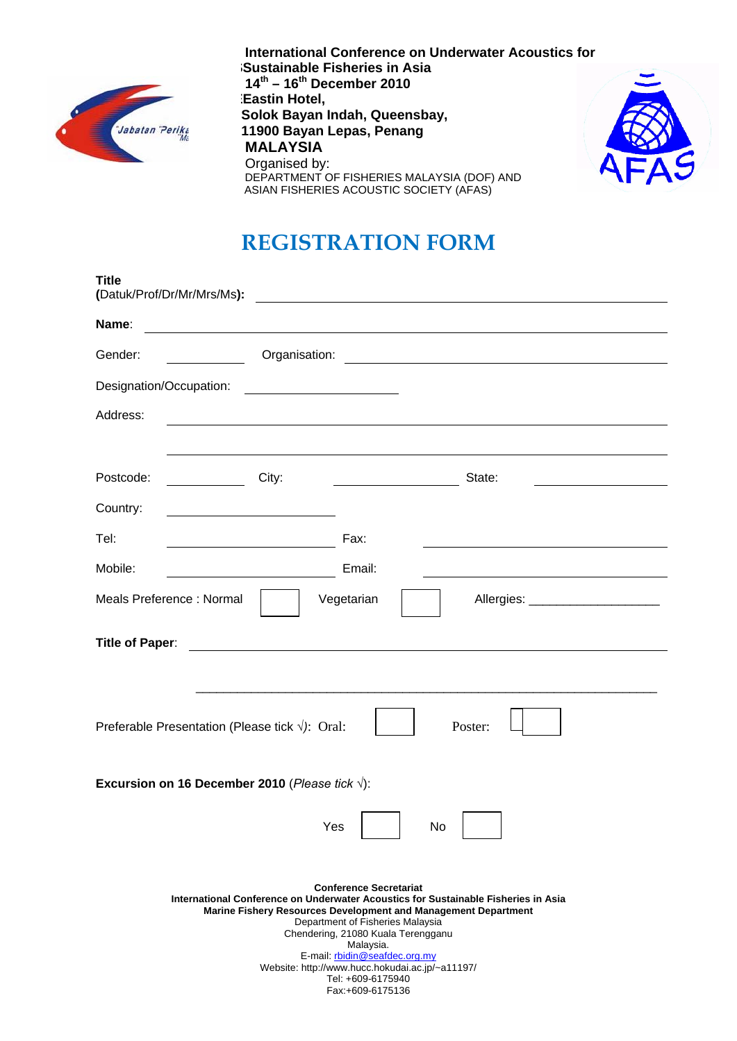

**International Conference on Underwater Acoustics for SSustainable Fisheries in Asia 14th – 16th December 2010 Eastin Hotel, Solok Bayan Indah, Queensbay, 11900 Bayan Lepas, Penang MALAYSIA** Organised by: DEPARTMENT OF FISHERIES MALAYSIA (DOF) AND ASIAN FISHERIES ACOUSTIC SOCIETY (AFAS)



## **REGISTRATION FORM**

| <b>Title</b><br>(Datuk/Prof/Dr/Mr/Mrs/Ms):                                                                                                                                                                                                                                                                                                                                                                |  |  |  |  |  |
|-----------------------------------------------------------------------------------------------------------------------------------------------------------------------------------------------------------------------------------------------------------------------------------------------------------------------------------------------------------------------------------------------------------|--|--|--|--|--|
| Name:<br><u> 1989 - Johann Barnett, fransk politik (d. 1989)</u>                                                                                                                                                                                                                                                                                                                                          |  |  |  |  |  |
| Organisation:<br>Gender:<br><u> 1989 - Johann Barn, mars ann an t-Amhain an t-Amhain an t-Amhain an t-Amhain an t-Amhain an t-Amhain an t-Amh</u>                                                                                                                                                                                                                                                         |  |  |  |  |  |
| Designation/Occupation:<br><u> 1989 - Johann Barbara, martin amerikan per</u>                                                                                                                                                                                                                                                                                                                             |  |  |  |  |  |
| Address:<br><u>and the state of the state of the state of the state of the state of the state of the state of the state of th</u>                                                                                                                                                                                                                                                                         |  |  |  |  |  |
|                                                                                                                                                                                                                                                                                                                                                                                                           |  |  |  |  |  |
| City:<br>State:<br>Postcode:                                                                                                                                                                                                                                                                                                                                                                              |  |  |  |  |  |
| Country:                                                                                                                                                                                                                                                                                                                                                                                                  |  |  |  |  |  |
| Tel:<br>Fax:                                                                                                                                                                                                                                                                                                                                                                                              |  |  |  |  |  |
| Mobile:<br>Email:                                                                                                                                                                                                                                                                                                                                                                                         |  |  |  |  |  |
| Meals Preference: Normal<br>Vegetarian<br>Allergies: __________________________                                                                                                                                                                                                                                                                                                                           |  |  |  |  |  |
| <b>Title of Paper:</b><br><u> 1980 - Andrea Andrew Maria (h. 1980).</u>                                                                                                                                                                                                                                                                                                                                   |  |  |  |  |  |
|                                                                                                                                                                                                                                                                                                                                                                                                           |  |  |  |  |  |
| Preferable Presentation (Please tick $\sqrt{ }$ ): Oral:<br>Poster:                                                                                                                                                                                                                                                                                                                                       |  |  |  |  |  |
| Excursion on 16 December 2010 (Please tick $\sqrt{ }$ ):                                                                                                                                                                                                                                                                                                                                                  |  |  |  |  |  |
| Yes<br>No                                                                                                                                                                                                                                                                                                                                                                                                 |  |  |  |  |  |
| <b>Conference Secretariat</b><br>International Conference on Underwater Acoustics for Sustainable Fisheries in Asia<br>Marine Fishery Resources Development and Management Department<br>Department of Fisheries Malaysia<br>Chendering, 21080 Kuala Terengganu<br>Malaysia.<br>E-mail: rbidin@seafdec.org.my<br>Website: http://www.hucc.hokudai.ac.jp/~a11197/<br>Tel: +609-6175940<br>Fax:+609-6175136 |  |  |  |  |  |